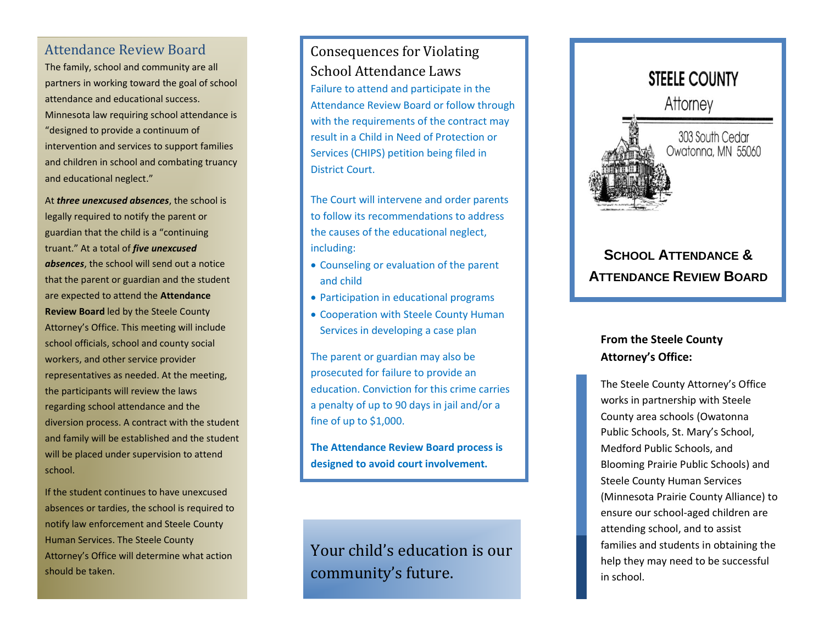#### Attendance Review Board

The family, school and community are all partners in working toward the goal of school attendance and educational success. Minnesota law requiring school attendance is "designed to provide a continuum of intervention and services to support families and children in school and combating truancy and educational neglect."

At *three unexcused absences*, the school is legally required to notify the parent or guardian that the child is a "continuing truant." At a total of *five unexcused absences*, the school will send out a notice that the parent or guardian and the student are expected to attend the **Attendance Review Board** led by the Steele County Attorney's Office. This meeting will include school officials, school and county social workers, and other service provider representatives as needed. At the meeting, the participants will review the laws regarding school attendance and the diversion process. A contract with the student and family will be established and the student will be placed under supervision to attend school.

If the student continues to have unexcused absences or tardies, the school is required to notify law enforcement and Steele County Human Services. The Steele County Attorney's Office will determine what action should be taken.

## Consequences for Violating School Attendance Laws

Failure to attend and participate in the Attendance Review Board or follow through with the requirements of the contract may result in a Child in Need of Protection or Services (CHIPS) petition being filed in District Court.

The Court will intervene and order parents to follow its recommendations to address the causes of the educational neglect, including:

- Counseling or evaluation of the parent and child
- Participation in educational programs
- Cooperation with Steele County Human Services in developing a case plan

The parent or guardian may also be prosecuted for failure to provide an education. Conviction for this crime carries a penalty of up to 90 days in jail and/or a fine of up to \$1,000.

**The Attendance Review Board process is designed to avoid court involvement.**

Your child's education is our community's future.



# **SCHOOL ATTENDANCE & ATTENDANCE REVIEW BOARD**

### **From the Steele County Attorney's Office:**

The Steele County Attorney's Office works in partnership with Steele County area schools (Owatonna Public Schools, St. Mary's School, Medford Public Schools, and Blooming Prairie Public Schools) and Steele County Human Services (Minnesota Prairie County Alliance) to ensure our school-aged children are attending school, and to assist families and students in obtaining the help they may need to be successful in school.